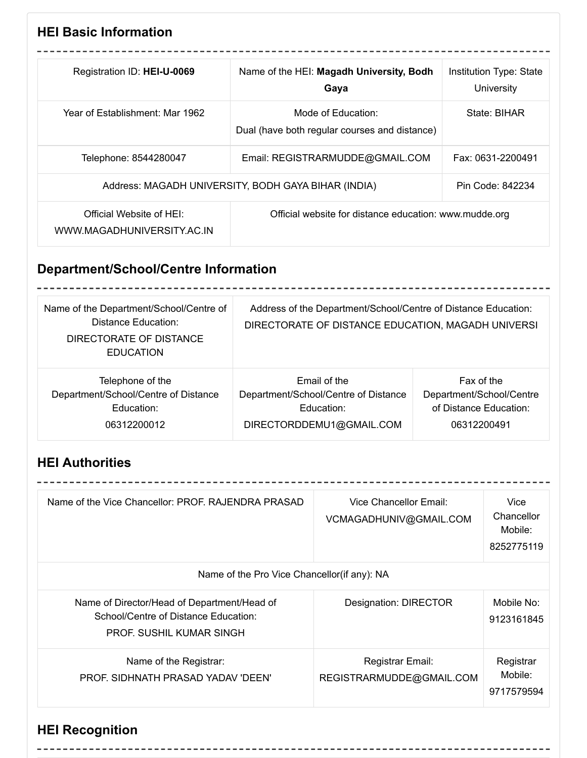## **HEI Basic Information**

| Registration ID: HEI-U-0069                           | Name of the HEI: Magadh University, Bodh<br>Gaya                    | Institution Type: State<br>University |
|-------------------------------------------------------|---------------------------------------------------------------------|---------------------------------------|
| Year of Establishment: Mar 1962.                      | Mode of Education:<br>Dual (have both regular courses and distance) | State: BIHAR                          |
| Telephone: 8544280047                                 | Email: REGISTRARMUDDE@GMAIL.COM                                     | Fax: 0631-2200491                     |
|                                                       | Address: MAGADH UNIVERSITY, BODH GAYA BIHAR (INDIA)                 | Pin Code: 842234                      |
| Official Website of HEL<br>WWW.MAGADHUNIVERSITY.AC.IN | Official website for distance education: www.mudde.org              |                                       |

# **Department/School/Centre Information**

| Name of the Department/School/Centre of<br><b>Distance Education:</b><br>DIRECTORATE OF DISTANCE<br><b>EDUCATION</b> | Address of the Department/School/Centre of Distance Education:<br>DIRECTORATE OF DISTANCE EDUCATION, MAGADH UNIVERSI |                          |
|----------------------------------------------------------------------------------------------------------------------|----------------------------------------------------------------------------------------------------------------------|--------------------------|
| Telephone of the                                                                                                     | Email of the                                                                                                         | Fax of the               |
| Department/School/Centre of Distance                                                                                 | Department/School/Centre of Distance                                                                                 | Department/School/Centre |
| Education:                                                                                                           | Education:                                                                                                           | of Distance Education:   |
| 06312200012                                                                                                          | DIRECTORDDEMU1@GMAIL.COM                                                                                             | 06312200491              |

## **HEI Authorities**

| Name of the Vice Chancellor: PROF. RAJENDRA PRASAD                                                                     | Vice Chancellor Email:<br>VCMAGADHUNIV@GMAIL.COM | Vice<br>Chancellor<br>Mobile:<br>8252775119 |
|------------------------------------------------------------------------------------------------------------------------|--------------------------------------------------|---------------------------------------------|
| Name of the Pro Vice Chancellor(if any): NA                                                                            |                                                  |                                             |
| Name of Director/Head of Department/Head of<br>School/Centre of Distance Education:<br><b>PROF. SUSHIL KUMAR SINGH</b> | <b>Designation: DIRECTOR</b>                     | Mobile No:<br>9123161845                    |
| Name of the Registrar:<br>PROF. SIDHNATH PRASAD YADAV 'DEEN'                                                           | Registrar Email:<br>REGISTRARMUDDE@GMAIL.COM     | Registrar<br>Mobile:<br>9717579594          |

## **HEI Recognition**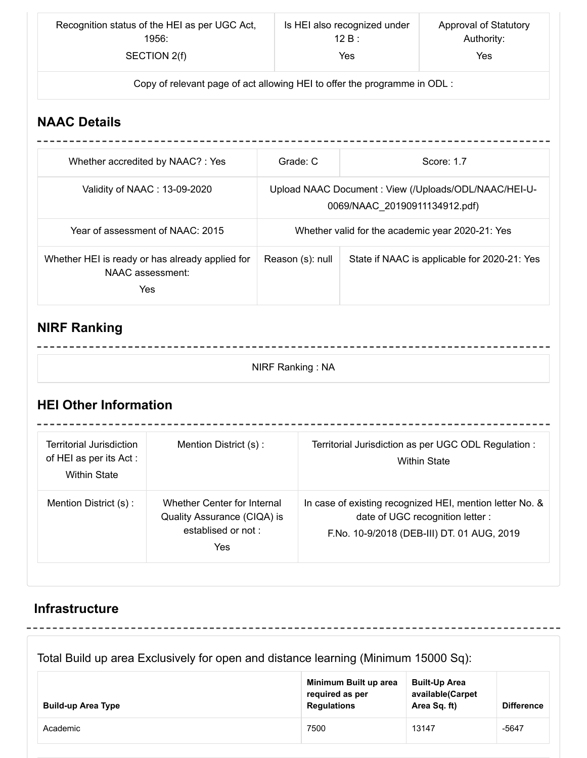| Recognition status of the HEI as per UGC Act, | Is HEI also recognized under | Approval of Statutory |
|-----------------------------------------------|------------------------------|-----------------------|
| 1956:                                         | 12 B :                       | Authority:            |
| SECTION 2(f)                                  | Yes                          | Yes                   |

Copy of relevant page of act allowing HEI to offer the programme in ODL :

### **NAAC Details**

| Whether accredited by NAAC?: Yes                                           | Grade: C         | Score: 1.7                                                                            |
|----------------------------------------------------------------------------|------------------|---------------------------------------------------------------------------------------|
| Validity of NAAC: 13-09-2020                                               |                  | Upload NAAC Document: View (/Uploads/ODL/NAAC/HEI-U-<br>0069/NAAC 20190911134912.pdf) |
| Year of assessment of NAAC: 2015                                           |                  | Whether valid for the academic year 2020-21: Yes                                      |
| Whether HEI is ready or has already applied for<br>NAAC assessment:<br>Yes | Reason (s): null | State if NAAC is applicable for 2020-21: Yes                                          |

## **NIRF Ranking**

#### NIRF Ranking : NA

----------

---------------------------------

------------------

## **HEI Other Information**

---------------

| Territorial Jurisdiction<br>of HEI as per its Act :<br><b>Within State</b> | Mention District (s):                                                                   | Territorial Jurisdiction as per UGC ODL Regulation :<br><b>Within State</b>                                                                |
|----------------------------------------------------------------------------|-----------------------------------------------------------------------------------------|--------------------------------------------------------------------------------------------------------------------------------------------|
| Mention District (s):                                                      | Whether Center for Internal<br>Quality Assurance (CIQA) is<br>establised or not:<br>Yes | In case of existing recognized HEI, mention letter No. &<br>date of UGC recognition letter :<br>F.No. 10-9/2018 (DEB-III) DT. 01 AUG, 2019 |

### **Infrastructure**

### Total Build up area Exclusively for open and distance learning (Minimum 15000 Sq):

| <b>Build-up Area Type</b> | Minimum Built up area<br>required as per<br><b>Regulations</b> | <b>Built-Up Area</b><br>available(Carpet<br>Area Sq. ft) | <b>Difference</b> |
|---------------------------|----------------------------------------------------------------|----------------------------------------------------------|-------------------|
| Academic                  | 7500                                                           | 13147                                                    | $-5647$           |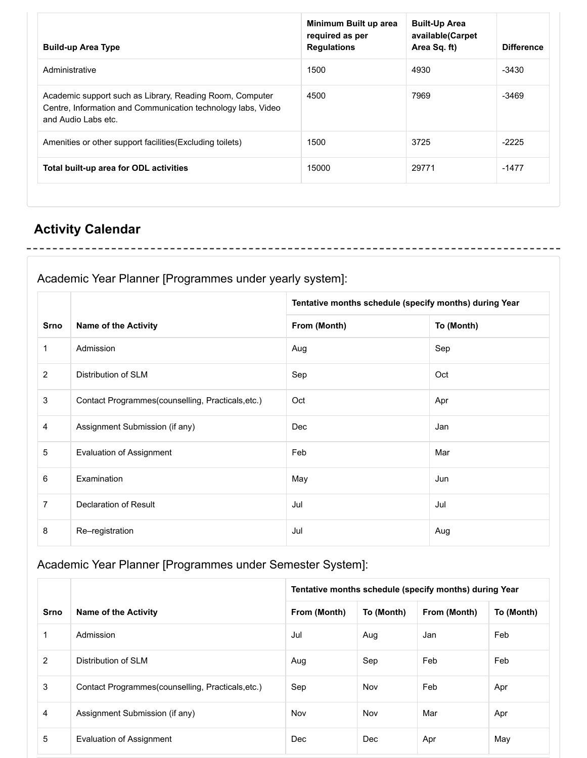| <b>Build-up Area Type</b>                                                                                                                       | required as per<br><b>Regulations</b> | available(Carpet<br>Area Sq. ft) | <b>Difference</b> |
|-------------------------------------------------------------------------------------------------------------------------------------------------|---------------------------------------|----------------------------------|-------------------|
| Administrative                                                                                                                                  | 1500                                  | 4930                             | $-3430$           |
| Academic support such as Library, Reading Room, Computer<br>Centre, Information and Communication technology labs, Video<br>and Audio Labs etc. | 4500                                  | 7969                             | -3469             |
| Amenities or other support facilities (Excluding toilets)                                                                                       | 1500                                  | 3725                             | $-2225$           |
| Total built-up area for ODL activities                                                                                                          | 15000                                 | 29771                            | $-1477$           |

## **Activity Calendar**

## Academic Year Planner [Programmes under yearly system]:

|                |                                                   | Tentative months schedule (specify months) during Year |            |
|----------------|---------------------------------------------------|--------------------------------------------------------|------------|
| <b>Srno</b>    | <b>Name of the Activity</b>                       | From (Month)                                           | To (Month) |
| $\mathbf 1$    | Admission                                         | Aug                                                    | Sep        |
| $\overline{2}$ | Distribution of SLM                               | Sep                                                    | Oct        |
| $\mathfrak{S}$ | Contact Programmes(counselling, Practicals, etc.) | Oct                                                    | Apr        |
| 4              | Assignment Submission (if any)                    | Dec                                                    | Jan        |
| 5              | <b>Evaluation of Assignment</b>                   | Feb                                                    | Mar        |
| 6              | Examination                                       | May                                                    | Jun        |
| $\overline{7}$ | Declaration of Result                             | Jul                                                    | Jul        |
| 8              | Re-registration                                   | Jul                                                    | Aug        |

### Academic Year Planner [Programmes under Semester System]:

|             |                                                    |              |            | Tentative months schedule (specify months) during Year |            |
|-------------|----------------------------------------------------|--------------|------------|--------------------------------------------------------|------------|
| <b>Srno</b> | <b>Name of the Activity</b>                        | From (Month) | To (Month) | From (Month)                                           | To (Month) |
|             | Admission                                          | Jul          | Aug        | Jan                                                    | Feb        |
| 2           | Distribution of SLM                                | Aug          | Sep        | Feb                                                    | Feb        |
| 3           | Contact Programmes (counselling, Practicals, etc.) | Sep          | Nov        | Feb                                                    | Apr        |
| 4           | Assignment Submission (if any)                     | Nov          | Nov        | Mar                                                    | Apr        |
| 5           | Evaluation of Assignment                           | Dec          | Dec        | Apr                                                    | May        |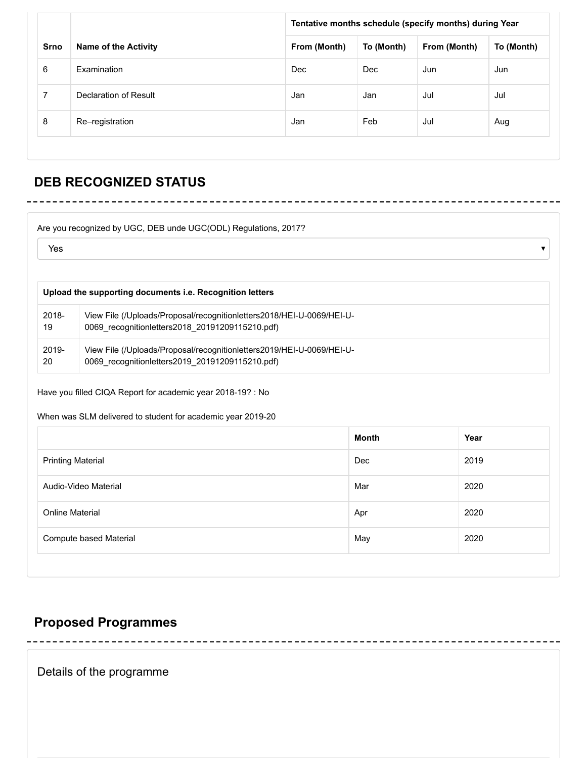|             |                             |              | Tentative months schedule (specify months) during Year |              |            |
|-------------|-----------------------------|--------------|--------------------------------------------------------|--------------|------------|
| <b>Srno</b> | <b>Name of the Activity</b> | From (Month) | To (Month)                                             | From (Month) | To (Month) |
| 6           | Examination                 | Dec          | Dec                                                    | Jun          | Jun        |
| 7           | Declaration of Result       | Jan          | Jan                                                    | Jul          | Jul        |
| 8           | Re-registration             | Jan          | Feb                                                    | Jul          | Aug        |

## **DEB RECOGNIZED STATUS**

| Yes   |                                                                       |
|-------|-----------------------------------------------------------------------|
|       | Upload the supporting documents i.e. Recognition letters              |
| 2018- | View File (/Uploads/Proposal/recognitionletters2018/HEI-U-0069/HEI-U- |
| 19    | 0069 recognitionletters2018 20191209115210.pdf)                       |
| 2019- | View File (/Uploads/Proposal/recognitionletters2019/HEI-U-0069/HEI-U- |
| 20    | 0069 recognitionletters2019 20191209115210.pdf)                       |

#### When was SLM delivered to student for academic year 2019-20

|                          | Month | Year |
|--------------------------|-------|------|
| <b>Printing Material</b> | Dec   | 2019 |
| Audio-Video Material     | Mar   | 2020 |
| <b>Online Material</b>   | Apr   | 2020 |
| Compute based Material   | May   | 2020 |
|                          |       |      |

### **Proposed Programmes**

Details of the programme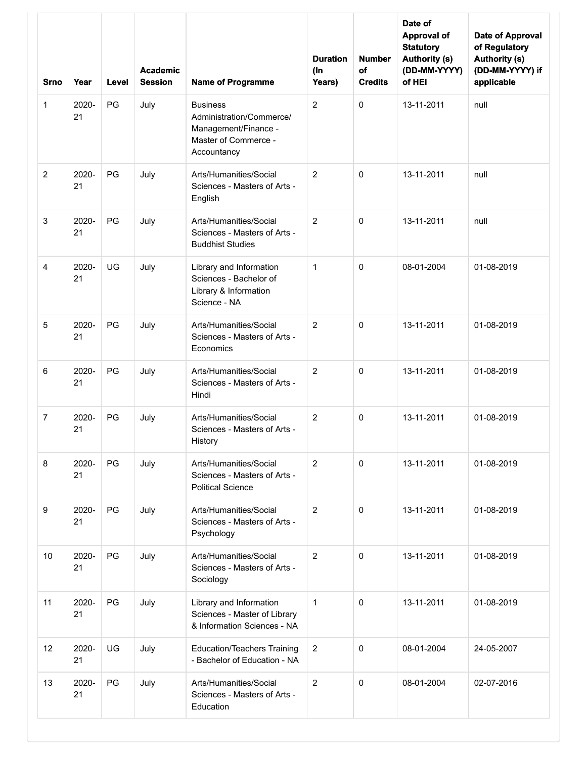| <b>Srno</b>      | Year        | Level | <b>Academic</b><br><b>Session</b> | <b>Name of Programme</b>                                                                                   | <b>Duration</b><br>$($ In<br>Years) | <b>Number</b><br>of<br><b>Credits</b> | Date of<br><b>Approval of</b><br><b>Statutory</b><br><b>Authority (s)</b><br>(DD-MM-YYYY)<br>of HEI | Date of Approval<br>of Regulatory<br><b>Authority (s)</b><br>(DD-MM-YYYY) if<br>applicable |
|------------------|-------------|-------|-----------------------------------|------------------------------------------------------------------------------------------------------------|-------------------------------------|---------------------------------------|-----------------------------------------------------------------------------------------------------|--------------------------------------------------------------------------------------------|
| 1                | 2020-<br>21 | PG    | July                              | <b>Business</b><br>Administration/Commerce/<br>Management/Finance -<br>Master of Commerce -<br>Accountancy | $\overline{2}$                      | 0                                     | 13-11-2011                                                                                          | null                                                                                       |
| 2                | 2020-<br>21 | PG    | July                              | Arts/Humanities/Social<br>Sciences - Masters of Arts -<br>English                                          | $\overline{2}$                      | 0                                     | 13-11-2011                                                                                          | null                                                                                       |
| 3                | 2020-<br>21 | PG    | July                              | Arts/Humanities/Social<br>Sciences - Masters of Arts -<br><b>Buddhist Studies</b>                          | 2                                   | 0                                     | 13-11-2011                                                                                          | null                                                                                       |
| $\overline{4}$   | 2020-<br>21 | UG    | July                              | Library and Information<br>Sciences - Bachelor of<br>Library & Information<br>Science - NA                 | 1                                   | 0                                     | 08-01-2004                                                                                          | 01-08-2019                                                                                 |
| $\sqrt{5}$       | 2020-<br>21 | PG    | July                              | Arts/Humanities/Social<br>Sciences - Masters of Arts -<br>Economics                                        | $\overline{2}$                      | 0                                     | 13-11-2011                                                                                          | 01-08-2019                                                                                 |
| 6                | 2020-<br>21 | PG    | July                              | Arts/Humanities/Social<br>Sciences - Masters of Arts -<br>Hindi                                            | $\overline{2}$                      | 0                                     | 13-11-2011                                                                                          | 01-08-2019                                                                                 |
| $\overline{7}$   | 2020-<br>21 | PG    | July                              | Arts/Humanities/Social<br>Sciences - Masters of Arts -<br>History                                          | $\overline{2}$                      | 0                                     | 13-11-2011                                                                                          | 01-08-2019                                                                                 |
| 8                | 2020-<br>21 | PG    | July                              | Arts/Humanities/Social<br>Sciences - Masters of Arts -<br><b>Political Science</b>                         | $\overline{c}$                      | $\mathbf 0$                           | 13-11-2011                                                                                          | 01-08-2019                                                                                 |
| $\boldsymbol{9}$ | 2020-<br>21 | PG    | July                              | Arts/Humanities/Social<br>Sciences - Masters of Arts -<br>Psychology                                       | $\overline{2}$                      | $\mathbf 0$                           | 13-11-2011                                                                                          | 01-08-2019                                                                                 |
| 10               | 2020-<br>21 | PG    | July                              | Arts/Humanities/Social<br>Sciences - Masters of Arts -<br>Sociology                                        | $\overline{c}$                      | $\mathbf 0$                           | 13-11-2011                                                                                          | 01-08-2019                                                                                 |
| 11               | 2020-<br>21 | PG    | July                              | Library and Information<br>Sciences - Master of Library<br>& Information Sciences - NA                     | $\mathbf{1}$                        | $\mathbf 0$                           | 13-11-2011                                                                                          | 01-08-2019                                                                                 |
| 12               | 2020-<br>21 | UG    | July                              | <b>Education/Teachers Training</b><br>- Bachelor of Education - NA                                         | $\overline{2}$                      | 0                                     | 08-01-2004                                                                                          | 24-05-2007                                                                                 |
| 13               | 2020-<br>21 | PG    | July                              | Arts/Humanities/Social<br>Sciences - Masters of Arts -<br>Education                                        | $\overline{2}$                      | 0                                     | 08-01-2004                                                                                          | 02-07-2016                                                                                 |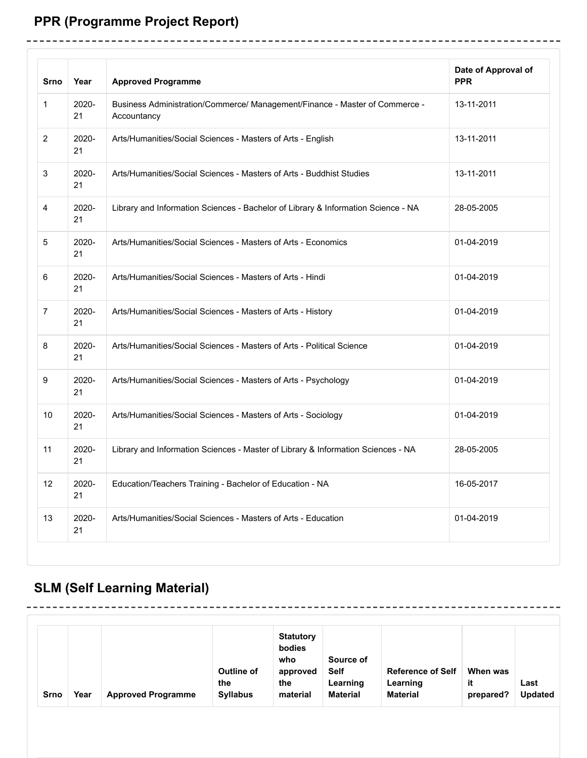# **PPR (Programme Project Report)**

------------------

| <b>Srno</b>     | Year        | <b>Approved Programme</b>                                                                  | Date of Approval of<br><b>PPR</b> |
|-----------------|-------------|--------------------------------------------------------------------------------------------|-----------------------------------|
| 1               | 2020-<br>21 | Business Administration/Commerce/ Management/Finance - Master of Commerce -<br>Accountancy | 13-11-2011                        |
| $\overline{2}$  | 2020-<br>21 | Arts/Humanities/Social Sciences - Masters of Arts - English                                | 13-11-2011                        |
| 3               | 2020-<br>21 | Arts/Humanities/Social Sciences - Masters of Arts - Buddhist Studies                       | 13-11-2011                        |
| 4               | 2020-<br>21 | Library and Information Sciences - Bachelor of Library & Information Science - NA          | 28-05-2005                        |
| 5               | 2020-<br>21 | Arts/Humanities/Social Sciences - Masters of Arts - Economics                              | 01-04-2019                        |
| 6               | 2020-<br>21 | Arts/Humanities/Social Sciences - Masters of Arts - Hindi                                  | 01-04-2019                        |
| $\overline{7}$  | 2020-<br>21 | Arts/Humanities/Social Sciences - Masters of Arts - History                                | 01-04-2019                        |
| 8               | 2020-<br>21 | Arts/Humanities/Social Sciences - Masters of Arts - Political Science                      | 01-04-2019                        |
| 9               | 2020-<br>21 | Arts/Humanities/Social Sciences - Masters of Arts - Psychology                             | 01-04-2019                        |
| 10 <sup>°</sup> | 2020-<br>21 | Arts/Humanities/Social Sciences - Masters of Arts - Sociology                              | 01-04-2019                        |
| 11              | 2020-<br>21 | Library and Information Sciences - Master of Library & Information Sciences - NA           | 28-05-2005                        |
| 12              | 2020-<br>21 | Education/Teachers Training - Bachelor of Education - NA                                   | 16-05-2017                        |
| 13              | 2020-<br>21 | Arts/Humanities/Social Sciences - Masters of Arts - Education                              | 01-04-2019                        |

--------------------------------------

----------------

-----------

# **SLM (Self Learning Material)**

--------------

| <b>Srno</b> | Year | <b>Approved Programme</b> | <b>Outline of</b><br>the<br><b>Syllabus</b> | <b>Statutory</b><br>bodies<br>who<br>approved<br>the<br>material | Source of<br><b>Self</b><br>Learning<br><b>Material</b> | <b>Reference of Self</b><br>Learning<br><b>Material</b> | When was<br>it<br>prepared? | Last<br><b>Updated</b> |
|-------------|------|---------------------------|---------------------------------------------|------------------------------------------------------------------|---------------------------------------------------------|---------------------------------------------------------|-----------------------------|------------------------|
|-------------|------|---------------------------|---------------------------------------------|------------------------------------------------------------------|---------------------------------------------------------|---------------------------------------------------------|-----------------------------|------------------------|

-----------------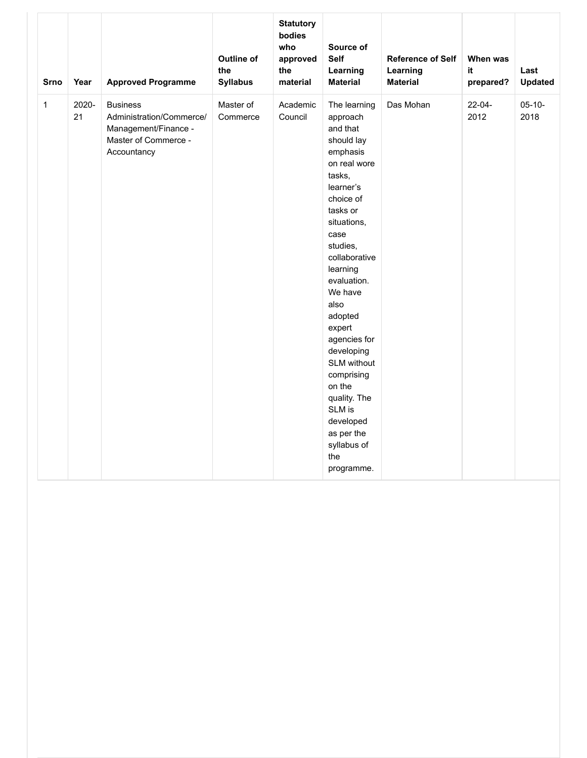| <b>Srno</b>  | Year        | <b>Approved Programme</b>                                                                                  | <b>Outline of</b><br>the<br><b>Syllabus</b> | <b>Statutory</b><br>bodies<br>who<br>approved<br>the<br>material | Source of<br><b>Self</b><br>Learning<br><b>Material</b>                                                                                                                                                                                                                                                                                                                                                             | <b>Reference of Self</b><br>Learning<br><b>Material</b> | When was<br>it<br>prepared? | Last<br><b>Updated</b> |
|--------------|-------------|------------------------------------------------------------------------------------------------------------|---------------------------------------------|------------------------------------------------------------------|---------------------------------------------------------------------------------------------------------------------------------------------------------------------------------------------------------------------------------------------------------------------------------------------------------------------------------------------------------------------------------------------------------------------|---------------------------------------------------------|-----------------------------|------------------------|
| $\mathbf{1}$ | 2020-<br>21 | <b>Business</b><br>Administration/Commerce/<br>Management/Finance -<br>Master of Commerce -<br>Accountancy | Master of<br>Commerce                       | Academic<br>Council                                              | The learning<br>approach<br>and that<br>should lay<br>emphasis<br>on real wore<br>tasks,<br>learner's<br>choice of<br>tasks or<br>situations,<br>case<br>studies,<br>collaborative<br>learning<br>evaluation.<br>We have<br>also<br>adopted<br>expert<br>agencies for<br>developing<br>SLM without<br>comprising<br>on the<br>quality. The<br>SLM is<br>developed<br>as per the<br>syllabus of<br>the<br>programme. | Das Mohan                                               | $22 - 04 -$<br>2012         | $05 - 10 -$<br>2018    |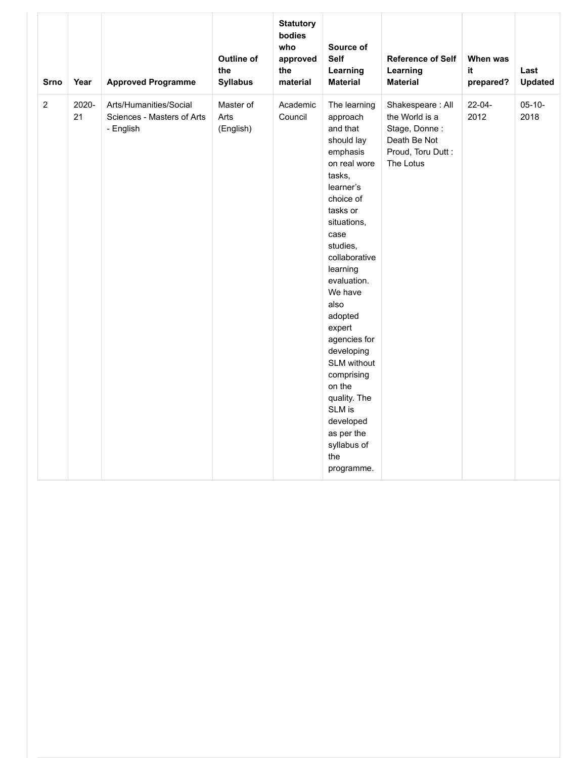| <b>Srno</b>    | Year        | <b>Approved Programme</b>                                         | <b>Outline of</b><br>the<br><b>Syllabus</b> | <b>Statutory</b><br>bodies<br>who<br>approved<br>the<br>material | Source of<br>Self<br>Learning<br><b>Material</b>                                                                                                                                                                                                                                                                                                                                                                    | <b>Reference of Self</b><br>Learning<br><b>Material</b>                                               | When was<br>it.<br>prepared? | Last<br><b>Updated</b> |
|----------------|-------------|-------------------------------------------------------------------|---------------------------------------------|------------------------------------------------------------------|---------------------------------------------------------------------------------------------------------------------------------------------------------------------------------------------------------------------------------------------------------------------------------------------------------------------------------------------------------------------------------------------------------------------|-------------------------------------------------------------------------------------------------------|------------------------------|------------------------|
| $\overline{2}$ | 2020-<br>21 | Arts/Humanities/Social<br>Sciences - Masters of Arts<br>- English | Master of<br>Arts<br>(English)              | Academic<br>Council                                              | The learning<br>approach<br>and that<br>should lay<br>emphasis<br>on real wore<br>tasks,<br>learner's<br>choice of<br>tasks or<br>situations,<br>case<br>studies,<br>collaborative<br>learning<br>evaluation.<br>We have<br>also<br>adopted<br>expert<br>agencies for<br>developing<br>SLM without<br>comprising<br>on the<br>quality. The<br>SLM is<br>developed<br>as per the<br>syllabus of<br>the<br>programme. | Shakespeare: All<br>the World is a<br>Stage, Donne:<br>Death Be Not<br>Proud, Toru Dutt:<br>The Lotus | 22-04-<br>2012               | $05 - 10 -$<br>2018    |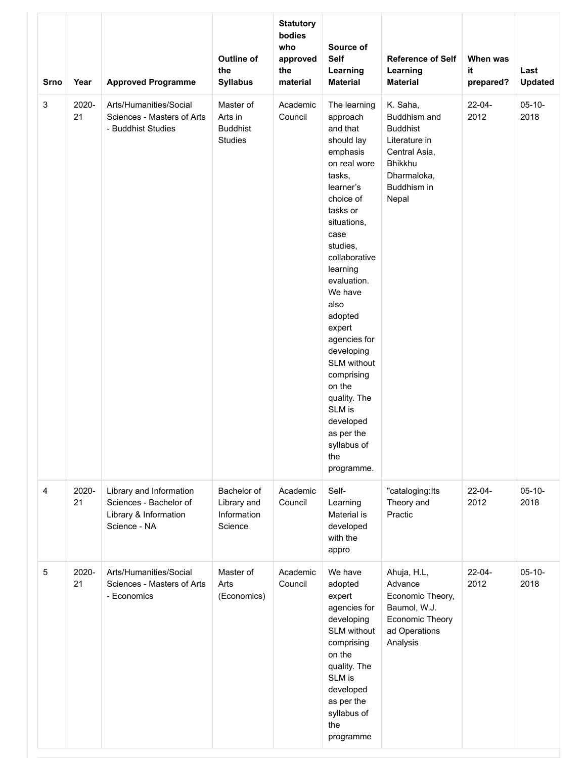| <b>Srno</b> | Year        | <b>Approved Programme</b>                                                                  | Outline of<br>the<br><b>Syllabus</b>                      | <b>Statutory</b><br>bodies<br>who<br>approved<br>the<br>material | Source of<br><b>Self</b><br>Learning<br><b>Material</b>                                                                                                                                                                                                                                                                                                                                                             | <b>Reference of Self</b><br>Learning<br><b>Material</b>                                                                                | When was<br>it<br>prepared? | Last<br><b>Updated</b> |
|-------------|-------------|--------------------------------------------------------------------------------------------|-----------------------------------------------------------|------------------------------------------------------------------|---------------------------------------------------------------------------------------------------------------------------------------------------------------------------------------------------------------------------------------------------------------------------------------------------------------------------------------------------------------------------------------------------------------------|----------------------------------------------------------------------------------------------------------------------------------------|-----------------------------|------------------------|
| 3           | 2020-<br>21 | Arts/Humanities/Social<br>Sciences - Masters of Arts<br>- Buddhist Studies                 | Master of<br>Arts in<br><b>Buddhist</b><br><b>Studies</b> | Academic<br>Council                                              | The learning<br>approach<br>and that<br>should lay<br>emphasis<br>on real wore<br>tasks,<br>learner's<br>choice of<br>tasks or<br>situations,<br>case<br>studies,<br>collaborative<br>learning<br>evaluation.<br>We have<br>also<br>adopted<br>expert<br>agencies for<br>developing<br>SLM without<br>comprising<br>on the<br>quality. The<br>SLM is<br>developed<br>as per the<br>syllabus of<br>the<br>programme. | K. Saha,<br>Buddhism and<br><b>Buddhist</b><br>Literature in<br>Central Asia,<br><b>Bhikkhu</b><br>Dharmaloka,<br>Buddhism in<br>Nepal | 22-04-<br>2012              | $05-10-$<br>2018       |
| 4           | 2020-<br>21 | Library and Information<br>Sciences - Bachelor of<br>Library & Information<br>Science - NA | Bachelor of<br>Library and<br>Information<br>Science      | Academic<br>Council                                              | Self-<br>Learning<br>Material is<br>developed<br>with the<br>appro                                                                                                                                                                                                                                                                                                                                                  | "cataloging:lts<br>Theory and<br>Practic                                                                                               | $22 - 04 -$<br>2012         | $05 - 10 -$<br>2018    |
| 5           | 2020-<br>21 | Arts/Humanities/Social<br>Sciences - Masters of Arts<br>- Economics                        | Master of<br>Arts<br>(Economics)                          | Academic<br>Council                                              | We have<br>adopted<br>expert<br>agencies for<br>developing<br>SLM without<br>comprising<br>on the<br>quality. The<br>SLM is<br>developed<br>as per the<br>syllabus of<br>the<br>programme                                                                                                                                                                                                                           | Ahuja, H.L,<br>Advance<br>Economic Theory,<br>Baumol, W.J.<br>Economic Theory<br>ad Operations<br>Analysis                             | 22-04-<br>2012              | $05 - 10 -$<br>2018    |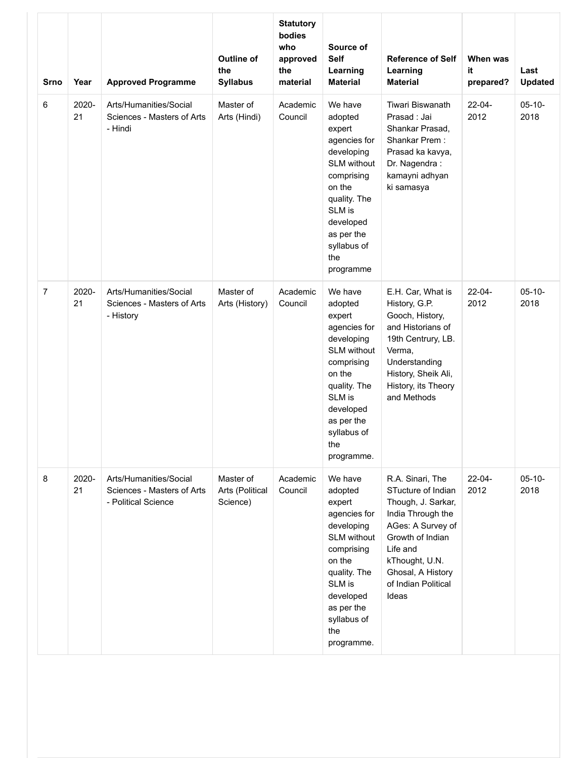| Srno           | Year        | <b>Approved Programme</b>                                                   | <b>Outline of</b><br>the<br><b>Syllabus</b> | <b>Statutory</b><br>bodies<br>who<br>approved<br>the<br>material | Source of<br><b>Self</b><br>Learning<br><b>Material</b>                                                                                                                                           | <b>Reference of Self</b><br>Learning<br><b>Material</b>                                                                                                                                                       | When was<br>it<br>prepared? | Last<br><b>Updated</b> |
|----------------|-------------|-----------------------------------------------------------------------------|---------------------------------------------|------------------------------------------------------------------|---------------------------------------------------------------------------------------------------------------------------------------------------------------------------------------------------|---------------------------------------------------------------------------------------------------------------------------------------------------------------------------------------------------------------|-----------------------------|------------------------|
| 6              | 2020-<br>21 | Arts/Humanities/Social<br>Sciences - Masters of Arts<br>- Hindi             | Master of<br>Arts (Hindi)                   | Academic<br>Council                                              | We have<br>adopted<br>expert<br>agencies for<br>developing<br><b>SLM</b> without<br>comprising<br>on the<br>quality. The<br>SLM is<br>developed<br>as per the<br>syllabus of<br>the<br>programme  | <b>Tiwari Biswanath</b><br>Prasad: Jai<br>Shankar Prasad,<br>Shankar Prem:<br>Prasad ka kavya,<br>Dr. Nagendra:<br>kamayni adhyan<br>ki samasya                                                               | 22-04-<br>2012              | $05 - 10 -$<br>2018    |
| $\overline{7}$ | 2020-<br>21 | Arts/Humanities/Social<br>Sciences - Masters of Arts<br>- History           | Master of<br>Arts (History)                 | Academic<br>Council                                              | We have<br>adopted<br>expert<br>agencies for<br>developing<br><b>SLM</b> without<br>comprising<br>on the<br>quality. The<br>SLM is<br>developed<br>as per the<br>syllabus of<br>the<br>programme. | E.H. Car, What is<br>History, G.P.<br>Gooch, History,<br>and Historians of<br>19th Centrury, LB.<br>Verma,<br>Understanding<br>History, Sheik Ali,<br>History, its Theory<br>and Methods                      | 22-04-<br>2012              | $05-10-$<br>2018       |
| 8              | 2020-<br>21 | Arts/Humanities/Social<br>Sciences - Masters of Arts<br>- Political Science | Master of<br>Arts (Political<br>Science)    | Academic<br>Council                                              | We have<br>adopted<br>expert<br>agencies for<br>developing<br><b>SLM</b> without<br>comprising<br>on the<br>quality. The<br>SLM is<br>developed<br>as per the<br>syllabus of<br>the<br>programme. | R.A. Sinari, The<br>STucture of Indian<br>Though, J. Sarkar,<br>India Through the<br>AGes: A Survey of<br>Growth of Indian<br>Life and<br>kThought, U.N.<br>Ghosal, A History<br>of Indian Political<br>Ideas | $22 - 04 -$<br>2012         | $05 - 10 -$<br>2018    |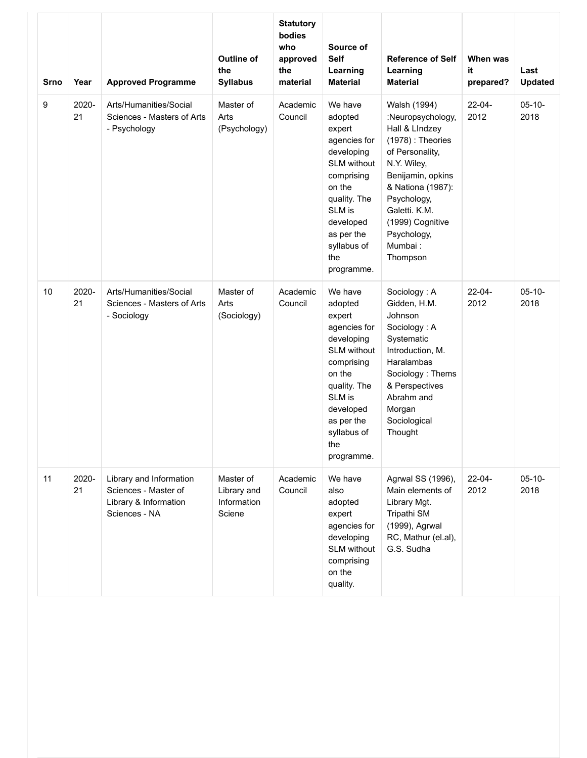| <b>Srno</b> | Year        | <b>Approved Programme</b>                                                                 | <b>Outline of</b><br>the<br><b>Syllabus</b>       | <b>Statutory</b><br>bodies<br>who<br>approved<br>the<br>material | Source of<br><b>Self</b><br>Learning<br><b>Material</b>                                                                                                                                           | <b>Reference of Self</b><br>Learning<br><b>Material</b>                                                                                                                                                                                          | When was<br>it<br>prepared? | Last<br><b>Updated</b> |
|-------------|-------------|-------------------------------------------------------------------------------------------|---------------------------------------------------|------------------------------------------------------------------|---------------------------------------------------------------------------------------------------------------------------------------------------------------------------------------------------|--------------------------------------------------------------------------------------------------------------------------------------------------------------------------------------------------------------------------------------------------|-----------------------------|------------------------|
| 9           | 2020-<br>21 | Arts/Humanities/Social<br>Sciences - Masters of Arts<br>- Psychology                      | Master of<br>Arts<br>(Psychology)                 | Academic<br>Council                                              | We have<br>adopted<br>expert<br>agencies for<br>developing<br><b>SLM</b> without<br>comprising<br>on the<br>quality. The<br>SLM is<br>developed<br>as per the<br>syllabus of<br>the<br>programme. | Walsh (1994)<br>:Neuropsychology,<br>Hall & Lindzey<br>$(1978)$ : Theories<br>of Personality,<br>N.Y. Wiley,<br>Benijamin, opkins<br>& Nationa (1987):<br>Psychology,<br>Galetti. K.M.<br>(1999) Cognitive<br>Psychology,<br>Mumbai:<br>Thompson | 22-04-<br>2012              | $05-10-$<br>2018       |
| 10          | 2020-<br>21 | Arts/Humanities/Social<br>Sciences - Masters of Arts<br>- Sociology                       | Master of<br>Arts<br>(Sociology)                  | Academic<br>Council                                              | We have<br>adopted<br>expert<br>agencies for<br>developing<br>SLM without<br>comprising<br>on the<br>quality. The<br>SLM is<br>developed<br>as per the<br>syllabus of<br>the<br>programme.        | Sociology: A<br>Gidden, H.M.<br>Johnson<br>Sociology: A<br>Systematic<br>Introduction, M.<br>Haralambas<br>Sociology: Thems<br>& Perspectives<br>Abrahm and<br>Morgan<br>Sociological<br>Thought                                                 | $22 - 04 -$<br>2012         | $05 - 10 -$<br>2018    |
| 11          | 2020-<br>21 | Library and Information<br>Sciences - Master of<br>Library & Information<br>Sciences - NA | Master of<br>Library and<br>Information<br>Sciene | Academic<br>Council                                              | We have<br>also<br>adopted<br>expert<br>agencies for<br>developing<br>SLM without<br>comprising<br>on the<br>quality.                                                                             | Agrwal SS (1996),<br>Main elements of<br>Library Mgt.<br>Tripathi SM<br>(1999), Agrwal<br>RC, Mathur (el.al),<br>G.S. Sudha                                                                                                                      | $22 - 04 -$<br>2012         | $05-10-$<br>2018       |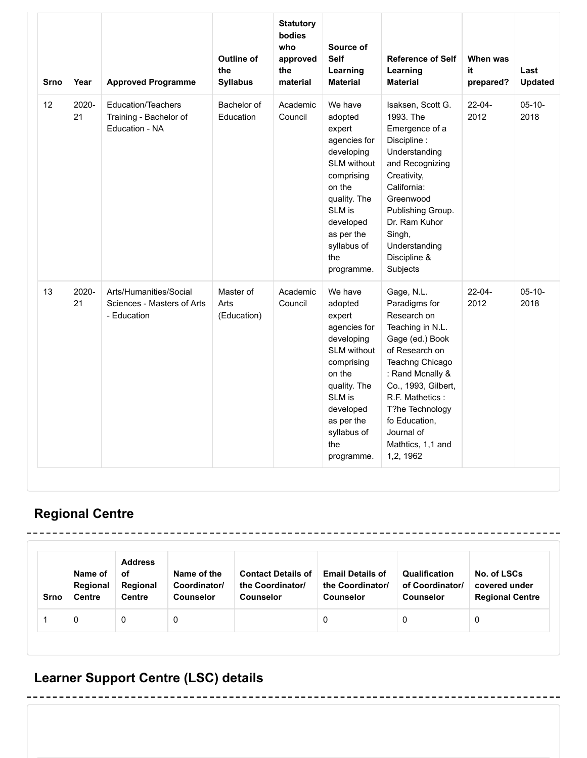| <b>Srno</b> | Year        | <b>Approved Programme</b>                                             | <b>Outline of</b><br>the<br><b>Syllabus</b> | <b>Statutory</b><br>bodies<br>who<br>approved<br>the<br>material | Source of<br><b>Self</b><br>Learning<br><b>Material</b>                                                                                                                                           | <b>Reference of Self</b><br>Learning<br><b>Material</b>                                                                                                                                                                                                                  | When was<br>it<br>prepared? | Last<br><b>Updated</b> |
|-------------|-------------|-----------------------------------------------------------------------|---------------------------------------------|------------------------------------------------------------------|---------------------------------------------------------------------------------------------------------------------------------------------------------------------------------------------------|--------------------------------------------------------------------------------------------------------------------------------------------------------------------------------------------------------------------------------------------------------------------------|-----------------------------|------------------------|
| 12          | 2020-<br>21 | <b>Education/Teachers</b><br>Training - Bachelor of<br>Education - NA | Bachelor of<br>Education                    | Academic<br>Council                                              | We have<br>adopted<br>expert<br>agencies for<br>developing<br><b>SLM without</b><br>comprising<br>on the<br>quality. The<br>SLM is<br>developed<br>as per the<br>syllabus of<br>the<br>programme. | Isaksen, Scott G.<br>1993. The<br>Emergence of a<br>Discipline:<br>Understanding<br>and Recognizing<br>Creativity,<br>California:<br>Greenwood<br>Publishing Group.<br>Dr. Ram Kuhor<br>Singh,<br>Understanding<br>Discipline &<br>Subjects                              | $22 - 04 -$<br>2012         | $05 - 10 -$<br>2018    |
| 13          | 2020-<br>21 | Arts/Humanities/Social<br>Sciences - Masters of Arts<br>- Education   | Master of<br>Arts<br>(Education)            | Academic<br>Council                                              | We have<br>adopted<br>expert<br>agencies for<br>developing<br><b>SLM</b> without<br>comprising<br>on the<br>quality. The<br>SLM is<br>developed<br>as per the<br>syllabus of<br>the<br>programme. | Gage, N.L.<br>Paradigms for<br>Research on<br>Teaching in N.L.<br>Gage (ed.) Book<br>of Research on<br>Teachng Chicago<br>: Rand Mcnally &<br>Co., 1993, Gilbert,<br>R.F. Mathetics:<br>T?he Technology<br>fo Education,<br>Journal of<br>Mathtics, 1,1 and<br>1,2, 1962 | $22 - 04 -$<br>2012         | $05 - 10 -$<br>2018    |

## **Regional Centre**

| Srno | Name of<br>Regional<br><b>Centre</b> | <b>Address</b><br>оf<br>Regional<br><b>Centre</b> | Name of the<br>Coordinator/<br><b>Counselor</b> | <b>Contact Details of</b><br>the Coordinator/<br><b>Counselor</b> | <b>Email Details of</b><br>the Coordinator/<br><b>Counselor</b> | Qualification<br>of Coordinator/<br><b>Counselor</b> | No. of LSCs<br>covered under<br><b>Regional Centre</b> |
|------|--------------------------------------|---------------------------------------------------|-------------------------------------------------|-------------------------------------------------------------------|-----------------------------------------------------------------|------------------------------------------------------|--------------------------------------------------------|
|      | 0                                    | 0                                                 |                                                 |                                                                   | 0                                                               |                                                      | 0                                                      |

-----------------

# **Learner Support Centre (LSC) details**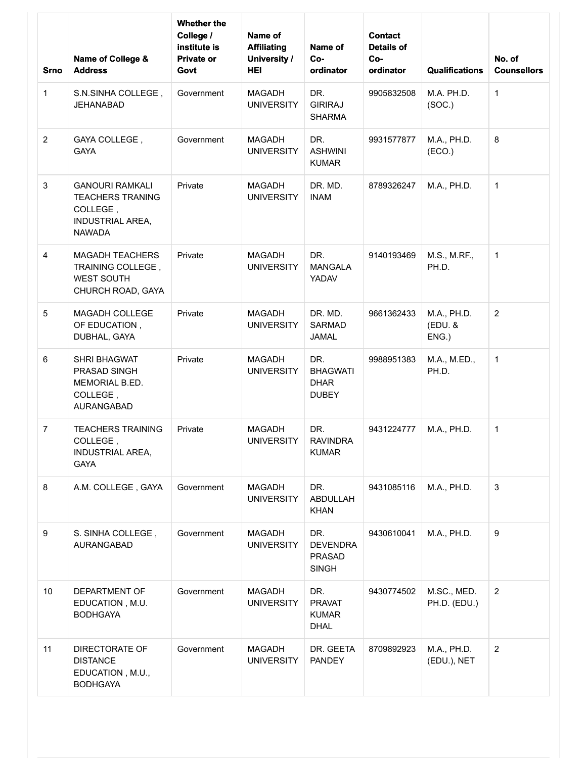| <b>Srno</b>      | Name of College &<br><b>Address</b>                                                                       | <b>Whether the</b><br>College /<br>institute is<br><b>Private or</b><br>Govt | Name of<br><b>Affiliating</b><br><b>University /</b><br><b>HEI</b> | Name of<br>Co-<br>ordinator                             | <b>Contact</b><br><b>Details of</b><br>Co-<br>ordinator | <b>Qualifications</b>          | No. of<br><b>Counsellors</b> |
|------------------|-----------------------------------------------------------------------------------------------------------|------------------------------------------------------------------------------|--------------------------------------------------------------------|---------------------------------------------------------|---------------------------------------------------------|--------------------------------|------------------------------|
| $\mathbf{1}$     | S.N.SINHA COLLEGE,<br>JEHANABAD                                                                           | Government                                                                   | <b>MAGADH</b><br><b>UNIVERSITY</b>                                 | DR.<br><b>GIRIRAJ</b><br><b>SHARMA</b>                  | 9905832508                                              | M.A. PH.D.<br>(SOC.)           | $\mathbf{1}$                 |
| $\overline{2}$   | GAYA COLLEGE,<br><b>GAYA</b>                                                                              | Government                                                                   | <b>MAGADH</b><br><b>UNIVERSITY</b>                                 | DR.<br><b>ASHWINI</b><br><b>KUMAR</b>                   | 9931577877                                              | M.A., PH.D.<br>(ECO.)          | 8                            |
| $\mathbf{3}$     | <b>GANOURI RAMKALI</b><br><b>TEACHERS TRANING</b><br>COLLEGE,<br><b>INDUSTRIAL AREA,</b><br><b>NAWADA</b> | Private                                                                      | <b>MAGADH</b><br><b>UNIVERSITY</b>                                 | DR. MD.<br><b>INAM</b>                                  | 8789326247                                              | M.A., PH.D.                    | $\mathbf{1}$                 |
| 4                | <b>MAGADH TEACHERS</b><br>TRAINING COLLEGE,<br><b>WEST SOUTH</b><br>CHURCH ROAD, GAYA                     | Private                                                                      | <b>MAGADH</b><br><b>UNIVERSITY</b>                                 | DR.<br><b>MANGALA</b><br>YADAV                          | 9140193469                                              | M.S., M.RF.,<br>PH.D.          | $\mathbf{1}$                 |
| $\sqrt{5}$       | MAGADH COLLEGE<br>OF EDUCATION,<br>DUBHAL, GAYA                                                           | Private                                                                      | <b>MAGADH</b><br><b>UNIVERSITY</b>                                 | DR. MD.<br><b>SARMAD</b><br><b>JAMAL</b>                | 9661362433                                              | M.A., PH.D.<br>(EDU. &<br>ENG. | $\overline{2}$               |
| 6                | <b>SHRI BHAGWAT</b><br><b>PRASAD SINGH</b><br>MEMORIAL B.ED.<br>COLLEGE,<br>AURANGABAD                    | Private                                                                      | <b>MAGADH</b><br><b>UNIVERSITY</b>                                 | DR.<br><b>BHAGWATI</b><br><b>DHAR</b><br><b>DUBEY</b>   | 9988951383                                              | M.A., M.ED.,<br>PH.D.          | $\mathbf{1}$                 |
| $\overline{7}$   | <b>TEACHERS TRAINING</b><br>COLLEGE,<br><b>INDUSTRIAL AREA,</b><br><b>GAYA</b>                            | Private                                                                      | <b>MAGADH</b><br><b>UNIVERSITY</b>                                 | DR.<br><b>RAVINDRA</b><br><b>KUMAR</b>                  | 9431224777                                              | M.A., PH.D.                    | 1                            |
| 8                | A.M. COLLEGE, GAYA                                                                                        | Government                                                                   | <b>MAGADH</b><br><b>UNIVERSITY</b>                                 | DR.<br>ABDULLAH<br><b>KHAN</b>                          | 9431085116                                              | M.A., PH.D.                    | 3                            |
| $\boldsymbol{9}$ | S. SINHA COLLEGE,<br>AURANGABAD                                                                           | Government                                                                   | <b>MAGADH</b><br><b>UNIVERSITY</b>                                 | DR.<br><b>DEVENDRA</b><br><b>PRASAD</b><br><b>SINGH</b> | 9430610041                                              | M.A., PH.D.                    | 9                            |
| 10               | DEPARTMENT OF<br>EDUCATION, M.U.<br><b>BODHGAYA</b>                                                       | Government                                                                   | <b>MAGADH</b><br><b>UNIVERSITY</b>                                 | DR.<br><b>PRAVAT</b><br><b>KUMAR</b><br><b>DHAL</b>     | 9430774502                                              | M.SC., MED.<br>PH.D. (EDU.)    | $\overline{2}$               |
| 11               | <b>DIRECTORATE OF</b><br><b>DISTANCE</b><br>EDUCATION, M.U.,<br><b>BODHGAYA</b>                           | Government                                                                   | <b>MAGADH</b><br><b>UNIVERSITY</b>                                 | DR. GEETA<br><b>PANDEY</b>                              | 8709892923                                              | M.A., PH.D.<br>(EDU.), NET     | $\overline{2}$               |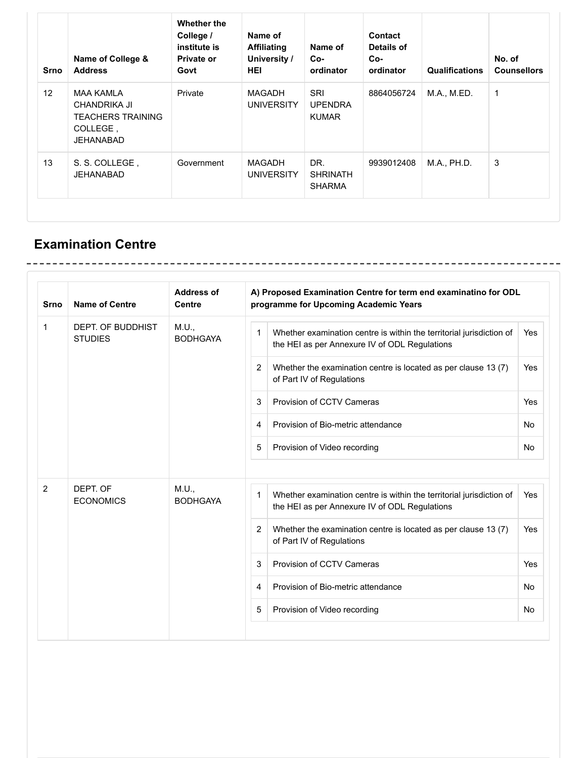| Srno | Name of College &<br><b>Address</b>                                                          | <b>Whether the</b><br>College /<br>institute is<br><b>Private or</b><br>Govt | Name of<br><b>Affiliating</b><br>University /<br><b>HEI</b> | Name of<br>$Co-$<br>ordinator           | Contact<br>Details of<br>Co-<br>ordinator | <b>Qualifications</b> | No. of<br><b>Counsellors</b> |
|------|----------------------------------------------------------------------------------------------|------------------------------------------------------------------------------|-------------------------------------------------------------|-----------------------------------------|-------------------------------------------|-----------------------|------------------------------|
| 12   | <b>MAA KAMLA</b><br><b>CHANDRIKA JI</b><br><b>TEACHERS TRAINING</b><br>COLLEGE,<br>JEHANABAD | Private                                                                      | MAGADH<br><b>UNIVERSITY</b>                                 | SRI<br><b>UPENDRA</b><br><b>KUMAR</b>   | 8864056724                                | M.A., M.ED.           | $\mathbf 1$                  |
| 13   | S. S. COLLEGE,<br>JEHANABAD                                                                  | Government                                                                   | <b>MAGADH</b><br><b>UNIVERSITY</b>                          | DR.<br><b>SHRINATH</b><br><b>SHARMA</b> | 9939012408                                | M.A., PH.D.           | 3                            |

## **Examination Centre**

| <b>Srno</b>    | <b>Address of</b><br><b>Name of Centre</b><br><b>Centre</b> |                          |                | A) Proposed Examination Centre for term end examinatino for ODL<br>programme for Upcoming Academic Years              |           |  |  |  |  |
|----------------|-------------------------------------------------------------|--------------------------|----------------|-----------------------------------------------------------------------------------------------------------------------|-----------|--|--|--|--|
| 1              | DEPT. OF BUDDHIST<br><b>STUDIES</b>                         | M.U.,<br><b>BODHGAYA</b> | $\mathbf 1$    | Whether examination centre is within the territorial jurisdiction of<br>the HEI as per Annexure IV of ODL Regulations | Yes       |  |  |  |  |
|                |                                                             |                          | 2              | Whether the examination centre is located as per clause 13 (7)<br>of Part IV of Regulations                           | Yes       |  |  |  |  |
|                |                                                             |                          | 3              | Provision of CCTV Cameras                                                                                             | Yes       |  |  |  |  |
|                |                                                             |                          | 4              | Provision of Bio-metric attendance                                                                                    | No        |  |  |  |  |
|                |                                                             |                          | 5              | Provision of Video recording                                                                                          | No        |  |  |  |  |
| $\overline{2}$ | DEPT. OF                                                    | M.U.,                    |                |                                                                                                                       |           |  |  |  |  |
|                | <b>ECONOMICS</b>                                            | <b>BODHGAYA</b>          | 1              | Whether examination centre is within the territorial jurisdiction of<br>the HEI as per Annexure IV of ODL Regulations | Yes       |  |  |  |  |
|                |                                                             |                          | 2              | Whether the examination centre is located as per clause 13 (7)<br>of Part IV of Regulations                           | Yes       |  |  |  |  |
|                |                                                             |                          | 3              | Provision of CCTV Cameras                                                                                             | Yes       |  |  |  |  |
|                |                                                             |                          | $\overline{4}$ | Provision of Bio-metric attendance                                                                                    | No        |  |  |  |  |
|                |                                                             |                          | 5              | Provision of Video recording                                                                                          | <b>No</b> |  |  |  |  |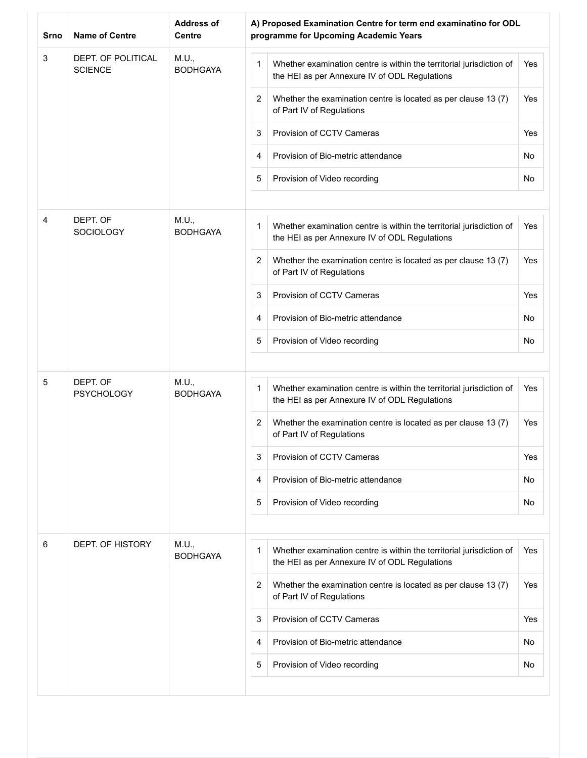| Srno | <b>Name of Centre</b>                | <b>Address of</b><br><b>Centre</b> | A) Proposed Examination Centre for term end examinatino for ODL<br>programme for Upcoming Academic Years                             |     |
|------|--------------------------------------|------------------------------------|--------------------------------------------------------------------------------------------------------------------------------------|-----|
| 3    | DEPT. OF POLITICAL<br><b>SCIENCE</b> | M.U.,<br><b>BODHGAYA</b>           | Whether examination centre is within the territorial jurisdiction of<br>1<br>the HEI as per Annexure IV of ODL Regulations           | Yes |
|      |                                      |                                    | $\overline{2}$<br>Whether the examination centre is located as per clause 13 (7)<br>of Part IV of Regulations                        | Yes |
|      |                                      |                                    | Provision of CCTV Cameras<br>3                                                                                                       | Yes |
|      |                                      |                                    | Provision of Bio-metric attendance<br>4                                                                                              | No  |
|      |                                      |                                    | 5<br>Provision of Video recording                                                                                                    | No  |
| 4    | DEPT. OF<br>SOCIOLOGY                | M.U.,<br><b>BODHGAYA</b>           | Whether examination centre is within the territorial jurisdiction of<br>1<br>the HEI as per Annexure IV of ODL Regulations           | Yes |
|      |                                      |                                    | $\overline{2}$<br>Whether the examination centre is located as per clause 13 (7)<br>of Part IV of Regulations                        | Yes |
|      |                                      |                                    | 3<br>Provision of CCTV Cameras                                                                                                       | Yes |
|      |                                      |                                    | Provision of Bio-metric attendance<br>4                                                                                              | No  |
|      |                                      |                                    | 5<br>Provision of Video recording                                                                                                    | No  |
|      |                                      |                                    |                                                                                                                                      |     |
| 5    | DEPT. OF<br><b>PSYCHOLOGY</b>        | M.U.,<br><b>BODHGAYA</b>           | Whether examination centre is within the territorial jurisdiction of<br>1<br>the HEI as per Annexure IV of ODL Regulations           | Yes |
|      |                                      |                                    | 2<br>Whether the examination centre is located as per clause 13 (7)<br>of Part IV of Regulations                                     | Yes |
|      |                                      |                                    | 3<br>Provision of CCTV Cameras                                                                                                       | Yes |
|      |                                      |                                    | Provision of Bio-metric attendance<br>4                                                                                              | No  |
|      |                                      |                                    | 5<br>Provision of Video recording                                                                                                    | No  |
| 6    | DEPT. OF HISTORY                     | M.U.,                              |                                                                                                                                      |     |
|      |                                      | <b>BODHGAYA</b>                    | $\mathbf 1$<br>Whether examination centre is within the territorial jurisdiction of<br>the HEI as per Annexure IV of ODL Regulations | Yes |
|      |                                      |                                    | 2<br>Whether the examination centre is located as per clause 13 (7)<br>of Part IV of Regulations                                     | Yes |
|      |                                      |                                    | Provision of CCTV Cameras<br>3                                                                                                       | Yes |
|      |                                      |                                    | Provision of Bio-metric attendance<br>4                                                                                              | No  |
|      |                                      |                                    | 5<br>Provision of Video recording                                                                                                    | No  |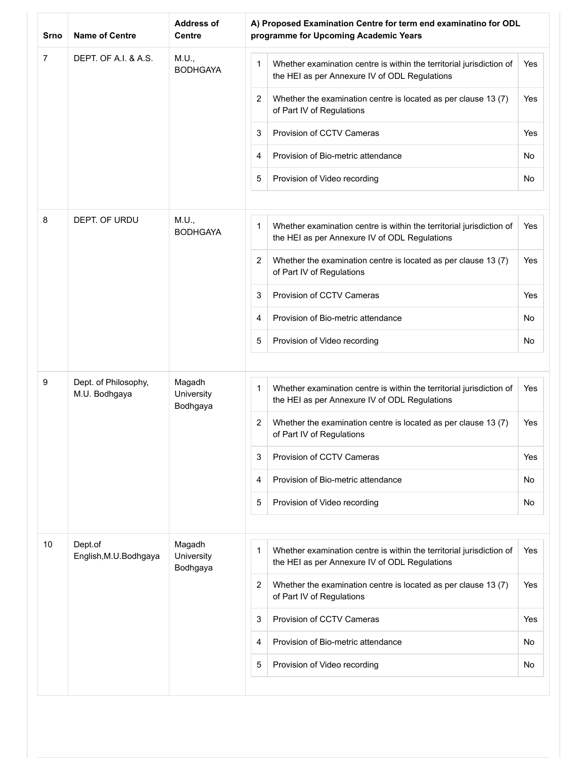| Srno           | <b>Name of Centre</b>             | <b>Address of</b><br><b>Centre</b> | A) Proposed Examination Centre for term end examinatino for ODL<br>programme for Upcoming Academic Years                   |     |
|----------------|-----------------------------------|------------------------------------|----------------------------------------------------------------------------------------------------------------------------|-----|
| $\overline{7}$ | DEPT. OF A.I. & A.S.              | M.U.,<br><b>BODHGAYA</b>           | Whether examination centre is within the territorial jurisdiction of<br>1<br>the HEI as per Annexure IV of ODL Regulations | Yes |
|                |                                   |                                    | 2<br>Whether the examination centre is located as per clause 13 (7)<br>of Part IV of Regulations                           | Yes |
|                |                                   |                                    | Provision of CCTV Cameras<br>3                                                                                             | Yes |
|                |                                   |                                    | Provision of Bio-metric attendance<br>4                                                                                    | No  |
|                |                                   |                                    | 5<br>Provision of Video recording                                                                                          | No  |
| 8              | DEPT. OF URDU                     | M.U.,<br><b>BODHGAYA</b>           | 1<br>Whether examination centre is within the territorial jurisdiction of<br>the HEI as per Annexure IV of ODL Regulations | Yes |
|                |                                   |                                    | 2<br>Whether the examination centre is located as per clause 13 (7)<br>of Part IV of Regulations                           | Yes |
|                |                                   |                                    | Provision of CCTV Cameras<br>3                                                                                             | Yes |
|                |                                   |                                    | Provision of Bio-metric attendance<br>4                                                                                    | No  |
|                |                                   |                                    | 5<br>Provision of Video recording                                                                                          | No  |
| 9              | Dept. of Philosophy,              | Magadh                             |                                                                                                                            |     |
|                | M.U. Bodhgaya                     | University<br>Bodhgaya             | 1<br>Whether examination centre is within the territorial jurisdiction of<br>the HEI as per Annexure IV of ODL Regulations | Yes |
|                |                                   |                                    | 2<br>Whether the examination centre is located as per clause 13 (7)<br>of Part IV of Regulations                           | Yes |
|                |                                   |                                    | 3<br>Provision of CCTV Cameras                                                                                             | Yes |
|                |                                   |                                    | Provision of Bio-metric attendance<br>4                                                                                    | No  |
|                |                                   |                                    | 5<br>Provision of Video recording                                                                                          | No  |
| 10             | Dept.of<br>English, M.U. Bodhgaya | Magadh<br>University               | 1<br>Whether examination centre is within the territorial jurisdiction of                                                  | Yes |
|                |                                   | Bodhgaya                           | the HEI as per Annexure IV of ODL Regulations<br>2<br>Whether the examination centre is located as per clause 13 (7)       | Yes |
|                |                                   |                                    | of Part IV of Regulations                                                                                                  |     |
|                |                                   |                                    | Provision of CCTV Cameras<br>3                                                                                             | Yes |
|                |                                   |                                    | Provision of Bio-metric attendance<br>4                                                                                    | No  |
|                |                                   |                                    | 5<br>Provision of Video recording                                                                                          | No  |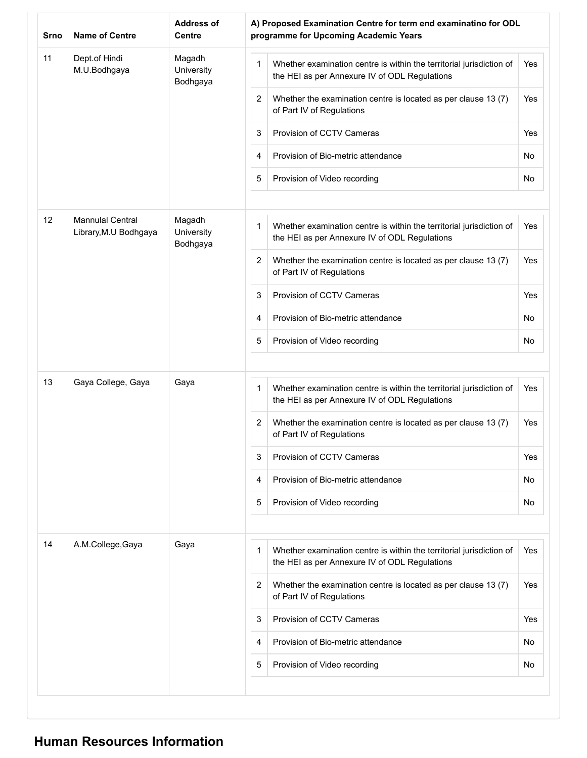| <b>Srno</b> | <b>Name of Centre</b>                                                                | <b>Address of</b><br><b>Centre</b> | A) Proposed Examination Centre for term end examinatino for ODL<br>programme for Upcoming Academic Years                   |     |
|-------------|--------------------------------------------------------------------------------------|------------------------------------|----------------------------------------------------------------------------------------------------------------------------|-----|
| 11          | Dept.of Hindi<br>M.U.Bodhgaya                                                        | Magadh<br>University<br>Bodhgaya   | 1<br>Whether examination centre is within the territorial jurisdiction of<br>the HEI as per Annexure IV of ODL Regulations | Yes |
|             |                                                                                      |                                    | Whether the examination centre is located as per clause 13 (7)<br>2<br>of Part IV of Regulations                           | Yes |
|             |                                                                                      |                                    | Provision of CCTV Cameras<br>3                                                                                             | Yes |
|             |                                                                                      |                                    | Provision of Bio-metric attendance<br>4                                                                                    | No  |
|             |                                                                                      |                                    | 5<br>Provision of Video recording                                                                                          | No  |
| 12          | <b>Mannulal Central</b><br>Magadh<br>Library, M.U Bodhgaya<br>University<br>Bodhgaya |                                    | Whether examination centre is within the territorial jurisdiction of<br>1<br>the HEI as per Annexure IV of ODL Regulations | Yes |
|             |                                                                                      |                                    | 2<br>Whether the examination centre is located as per clause 13 (7)<br>of Part IV of Regulations                           | Yes |
|             |                                                                                      |                                    | 3<br>Provision of CCTV Cameras                                                                                             | Yes |
|             |                                                                                      |                                    | Provision of Bio-metric attendance<br>4                                                                                    | No  |
|             |                                                                                      |                                    | 5<br>Provision of Video recording                                                                                          | No  |
|             |                                                                                      |                                    |                                                                                                                            |     |
| 13          | Gaya College, Gaya                                                                   | Gaya                               | 1<br>Whether examination centre is within the territorial jurisdiction of<br>the HEI as per Annexure IV of ODL Regulations | Yes |
|             |                                                                                      |                                    | 2<br>Whether the examination centre is located as per clause 13 (7)<br>of Part IV of Regulations                           | Yes |
|             |                                                                                      |                                    | Provision of CCTV Cameras<br>3                                                                                             | Yes |
|             |                                                                                      |                                    | Provision of Bio-metric attendance<br>4                                                                                    | No  |
|             |                                                                                      |                                    | 5<br>Provision of Video recording                                                                                          | No  |
|             |                                                                                      |                                    |                                                                                                                            |     |
| 14          | A.M.College, Gaya                                                                    | Gaya                               | 1<br>Whether examination centre is within the territorial jurisdiction of<br>the HEI as per Annexure IV of ODL Regulations | Yes |
|             |                                                                                      |                                    | 2<br>Whether the examination centre is located as per clause 13 (7)<br>of Part IV of Regulations                           | Yes |
|             |                                                                                      |                                    | Provision of CCTV Cameras<br>3                                                                                             | Yes |
|             |                                                                                      |                                    | Provision of Bio-metric attendance<br>4                                                                                    | No  |
|             |                                                                                      |                                    | 5<br>Provision of Video recording                                                                                          | No  |

## **Human Resources Information**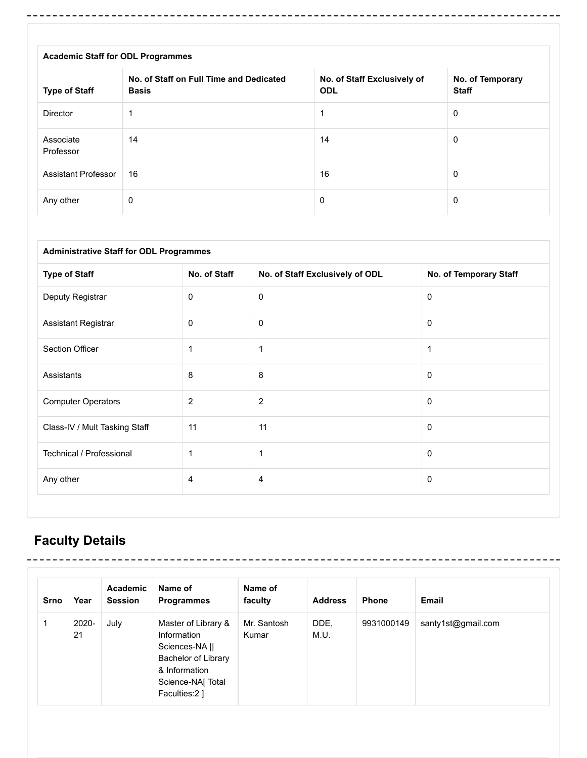| <b>Academic Staff for ODL Programmes</b> |                                                         |                                           |                                  |  |  |  |
|------------------------------------------|---------------------------------------------------------|-------------------------------------------|----------------------------------|--|--|--|
| <b>Type of Staff</b>                     | No. of Staff on Full Time and Dedicated<br><b>Basis</b> | No. of Staff Exclusively of<br><b>ODL</b> | No. of Temporary<br><b>Staff</b> |  |  |  |
| Director                                 |                                                         |                                           | 0                                |  |  |  |
| Associate<br>Professor                   | 14                                                      | 14                                        | $\Omega$                         |  |  |  |
| <b>Assistant Professor</b>               | 16                                                      | 16                                        | 0                                |  |  |  |
| Any other                                | 0                                                       | 0                                         | 0                                |  |  |  |

-----------------------------------

-----------

| <b>Administrative Staff for ODL Programmes</b> |                |                                 |                        |  |  |  |
|------------------------------------------------|----------------|---------------------------------|------------------------|--|--|--|
| <b>Type of Staff</b>                           | No. of Staff   | No. of Staff Exclusively of ODL | No. of Temporary Staff |  |  |  |
| Deputy Registrar                               | 0              | $\mathbf 0$                     | $\mathbf 0$            |  |  |  |
| Assistant Registrar                            | 0              | 0                               | 0                      |  |  |  |
| Section Officer                                | 1              | $\mathbf 1$                     | 1                      |  |  |  |
| Assistants                                     | 8              | 8                               | 0                      |  |  |  |
| <b>Computer Operators</b>                      | $\overline{c}$ | $\overline{c}$                  | $\Omega$               |  |  |  |
| Class-IV / Mult Tasking Staff                  | 11             | 11                              | $\mathbf 0$            |  |  |  |
| Technical / Professional                       | $\mathbf 1$    | 1                               | 0                      |  |  |  |
| Any other                                      | 4              | 4                               | $\mathbf{0}$           |  |  |  |

# **Faculty Details**

----------

 $\overline{\phantom{a}}$ 

-----------------

| Srno | Year        | Academic<br><b>Session</b> | Name of<br><b>Programmes</b>                                                                                                              | Name of<br>faculty   | <b>Address</b> | <b>Phone</b> | Email              |
|------|-------------|----------------------------|-------------------------------------------------------------------------------------------------------------------------------------------|----------------------|----------------|--------------|--------------------|
|      | 2020-<br>21 | July                       | Master of Library &<br>Information<br>Sciences-NA   <br><b>Bachelor of Library</b><br>& Information<br>Science-NA[ Total<br>Faculties:2 ] | Mr. Santosh<br>Kumar | DDE,<br>M.U.   | 9931000149   | santy1st@gmail.com |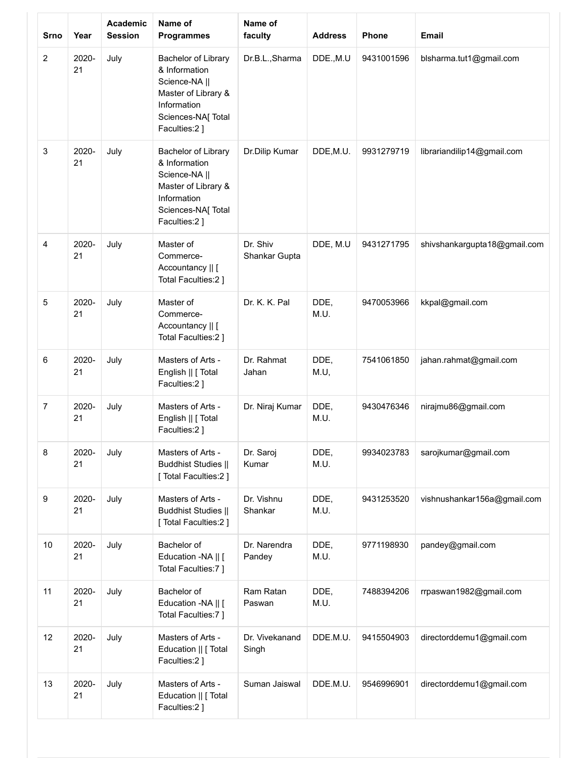| <b>Srno</b>    | Year        | <b>Academic</b><br><b>Session</b> | Name of<br><b>Programmes</b>                                                                                                      | Name of<br>faculty        | <b>Address</b> | Phone      | <b>Email</b>                 |
|----------------|-------------|-----------------------------------|-----------------------------------------------------------------------------------------------------------------------------------|---------------------------|----------------|------------|------------------------------|
| 2              | 2020-<br>21 | July                              | Bachelor of Library<br>& Information<br>Science-NA   <br>Master of Library &<br>Information<br>Sciences-NA[ Total<br>Faculties:2] | Dr.B.L., Sharma           | DDE., M.U      | 9431001596 | blsharma.tut1@gmail.com      |
| 3              | 2020-<br>21 | July                              | Bachelor of Library<br>& Information<br>Science-NA   <br>Master of Library &<br>Information<br>Sciences-NA[ Total<br>Faculties:2] | Dr.Dilip Kumar            | DDE, M.U.      | 9931279719 | librariandilip14@gmail.com   |
| $\overline{4}$ | 2020-<br>21 | July                              | Master of<br>Commerce-<br>Accountancy    [<br>Total Faculties:2 ]                                                                 | Dr. Shiv<br>Shankar Gupta | DDE, M.U       | 9431271795 | shivshankargupta18@gmail.com |
| 5              | 2020-<br>21 | July                              | Master of<br>Commerce-<br>Accountancy    [<br>Total Faculties:2 ]                                                                 | Dr. K. K. Pal             | DDE,<br>M.U.   | 9470053966 | kkpal@gmail.com              |
| 6              | 2020-<br>21 | July                              | Masters of Arts -<br>English    [ Total<br>Faculties:2]                                                                           | Dr. Rahmat<br>Jahan       | DDE,<br>M.U,   | 7541061850 | jahan.rahmat@gmail.com       |
| $\overline{7}$ | 2020-<br>21 | July                              | Masters of Arts -<br>English    [ Total<br>Faculties:2 ]                                                                          | Dr. Niraj Kumar           | DDE,<br>M.U.   | 9430476346 | nirajmu86@gmail.com          |
| 8              | 2020-<br>21 | July                              | Masters of Arts -<br><b>Buddhist Studies   </b><br>[Total Faculties:2]                                                            | Dr. Saroj<br>Kumar        | DDE,<br>M.U.   | 9934023783 | sarojkumar@gmail.com         |
| 9              | 2020-<br>21 | July                              | Masters of Arts -<br><b>Buddhist Studies   </b><br>[ Total Faculties:2 ]                                                          | Dr. Vishnu<br>Shankar     | DDE,<br>M.U.   | 9431253520 | vishnushankar156a@gmail.com  |
| 10             | 2020-<br>21 | July                              | Bachelor of<br>Education -NA    [<br>Total Faculties:7]                                                                           | Dr. Narendra<br>Pandey    | DDE,<br>M.U.   | 9771198930 | pandey@gmail.com             |
| 11             | 2020-<br>21 | July                              | Bachelor of<br>Education -NA    [<br>Total Faculties:7 ]                                                                          | Ram Ratan<br>Paswan       | DDE,<br>M.U.   | 7488394206 | rrpaswan1982@gmail.com       |
| 12             | 2020-<br>21 | July                              | Masters of Arts -<br>Education    [ Total<br>Faculties:2]                                                                         | Dr. Vivekanand<br>Singh   | DDE.M.U.       | 9415504903 | directorddemu1@gmail.com     |
| 13             | 2020-<br>21 | July                              | Masters of Arts -<br>Education    [ Total<br>Faculties:2]                                                                         | Suman Jaiswal             | DDE.M.U.       | 9546996901 | directorddemu1@gmail.com     |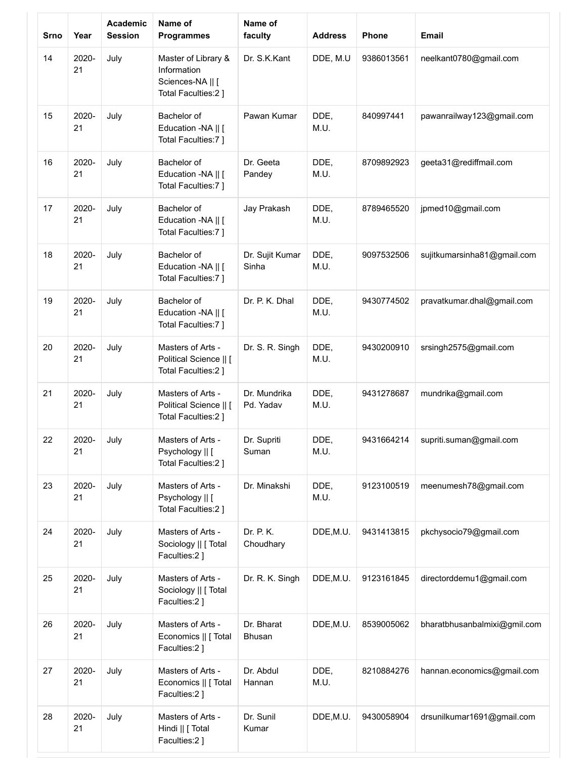| <b>Srno</b> | Year        | Academic<br><b>Session</b> | Name of<br><b>Programmes</b>                                                  | Name of<br>faculty        | <b>Address</b> | Phone      | <b>Email</b>                 |
|-------------|-------------|----------------------------|-------------------------------------------------------------------------------|---------------------------|----------------|------------|------------------------------|
| 14          | 2020-<br>21 | July                       | Master of Library &<br>Information<br>Sciences-NA    [<br>Total Faculties:2 ] | Dr. S.K.Kant              | DDE, M.U       | 9386013561 | neelkant0780@gmail.com       |
| 15          | 2020-<br>21 | July                       | Bachelor of<br>Education -NA    [<br>Total Faculties:7 ]                      | Pawan Kumar               | DDE,<br>M.U.   | 840997441  | pawanrailway123@gmail.com    |
| 16          | 2020-<br>21 | July                       | Bachelor of<br>Education -NA    [<br>Total Faculties:7 ]                      | Dr. Geeta<br>Pandey       | DDE,<br>M.U.   | 8709892923 | geeta31@rediffmail.com       |
| 17          | 2020-<br>21 | July                       | Bachelor of<br>Education -NA    [<br>Total Faculties:7 ]                      | Jay Prakash               | DDE,<br>M.U.   | 8789465520 | jpmed10@gmail.com            |
| 18          | 2020-<br>21 | July                       | Bachelor of<br>Education -NA    [<br>Total Faculties:7 ]                      | Dr. Sujit Kumar<br>Sinha  | DDE,<br>M.U.   | 9097532506 | sujitkumarsinha81@gmail.com  |
| 19          | 2020-<br>21 | July                       | Bachelor of<br>Education -NA    [<br>Total Faculties:7 ]                      | Dr. P. K. Dhal            | DDE,<br>M.U.   | 9430774502 | pravatkumar.dhal@gmail.com   |
| 20          | 2020-<br>21 | July                       | Masters of Arts -<br>Political Science    [<br>Total Faculties:2 ]            | Dr. S. R. Singh           | DDE,<br>M.U.   | 9430200910 | srsingh2575@gmail.com        |
| 21          | 2020-<br>21 | July                       | Masters of Arts -<br>Political Science    [<br>Total Faculties:2 ]            | Dr. Mundrika<br>Pd. Yadav | DDE,<br>M.U.   | 9431278687 | mundrika@gmail.com           |
| 22          | 2020-<br>21 | July                       | Masters of Arts -<br>Psychology    [<br>Total Faculties:2 ]                   | Dr. Supriti<br>Suman      | DDE,<br>M.U.   | 9431664214 | supriti.suman@gmail.com      |
| 23          | 2020-<br>21 | July                       | Masters of Arts -<br>Psychology    [<br>Total Faculties:2 ]                   | Dr. Minakshi              | DDE,<br>M.U.   | 9123100519 | meenumesh78@gmail.com        |
| 24          | 2020-<br>21 | July                       | Masters of Arts -<br>Sociology    [ Total<br>Faculties:2]                     | Dr. P. K.<br>Choudhary    | DDE, M.U.      | 9431413815 | pkchysocio79@gmail.com       |
| 25          | 2020-<br>21 | July                       | Masters of Arts -<br>Sociology    [ Total<br>Faculties:2]                     | Dr. R. K. Singh           | DDE, M.U.      | 9123161845 | directorddemu1@gmail.com     |
| 26          | 2020-<br>21 | July                       | Masters of Arts -<br>Economics    [ Total<br>Faculties:2 ]                    | Dr. Bharat<br>Bhusan      | DDE, M.U.      | 8539005062 | bharatbhusanbalmixi@gmil.com |
| 27          | 2020-<br>21 | July                       | Masters of Arts -<br>Economics    [ Total<br>Faculties:2]                     | Dr. Abdul<br>Hannan       | DDE,<br>M.U.   | 8210884276 | hannan.economics@gmail.com   |
| 28          | 2020-<br>21 | July                       | Masters of Arts -<br>Hindi    [ Total<br>Faculties:2]                         | Dr. Sunil<br>Kumar        | DDE, M.U.      | 9430058904 | drsunilkumar1691@gmail.com   |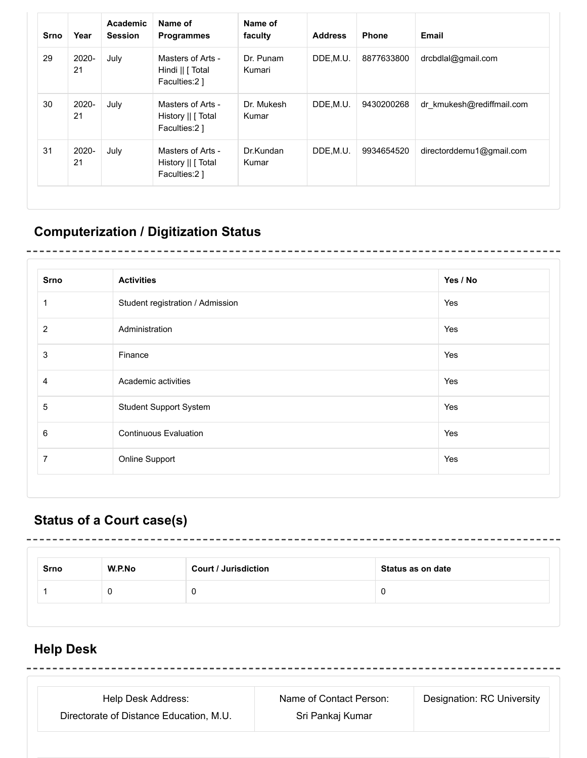| <b>Srno</b> | Year           | Academic<br><b>Session</b> | Name of<br><b>Programmes</b>                             | Name of<br>faculty  | <b>Address</b> | <b>Phone</b> | Email                     |
|-------------|----------------|----------------------------|----------------------------------------------------------|---------------------|----------------|--------------|---------------------------|
| 29          | $2020 -$<br>21 | July                       | Masters of Arts -<br>Hindi    [ Total<br>Faculties:2 ]   | Dr. Punam<br>Kumari | DDE,M.U.       | 8877633800   | drcbdlal@gmail.com        |
| 30          | 2020-<br>21    | July                       | Masters of Arts -<br>History      Total<br>Faculties:2 ] | Dr. Mukesh<br>Kumar | DDE,M.U.       | 9430200268   | dr kmukesh@rediffmail.com |
| 31          | $2020 -$<br>21 | July                       | Masters of Arts -<br>History    [ Total<br>Faculties:2 ] | Dr.Kundan<br>Kumar  | DDE, M.U.      | 9934654520   | directorddemu1@gmail.com  |

# **Computerization / Digitization Status**

| <b>Srno</b>    | <b>Activities</b>                | Yes / No |
|----------------|----------------------------------|----------|
| 1              | Student registration / Admission | Yes      |
| $\overline{2}$ | Administration                   | Yes      |
| 3              | Finance                          | Yes      |
| $\overline{4}$ | Academic activities              | Yes      |
| 5              | <b>Student Support System</b>    | Yes      |
| 6              | <b>Continuous Evaluation</b>     | Yes      |
| $\overline{7}$ | Online Support                   | Yes      |

----------

## **Status of a Court case(s)**

| <b>Srno</b> | W.P.No | <b>Court / Jurisdiction</b> | Status as on date |
|-------------|--------|-----------------------------|-------------------|
|             |        |                             |                   |

## **Help Desk**

| Help Desk Address:                      | Name of Contact Person: | Designation: RC University |
|-----------------------------------------|-------------------------|----------------------------|
| Directorate of Distance Education, M.U. | Sri Pankaj Kumar        |                            |

------------

--------------------------

--------------------------